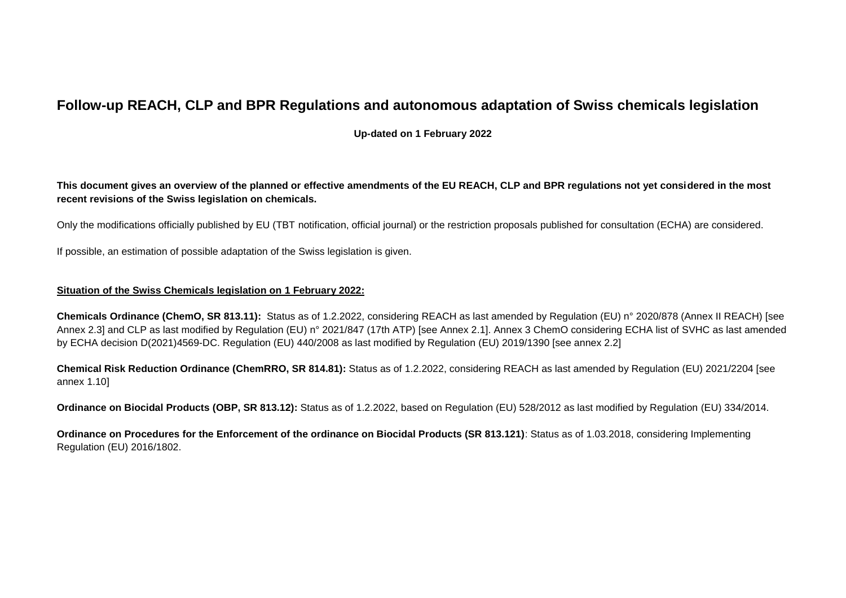## **Follow-up REACH, CLP and BPR Regulations and autonomous adaptation of Swiss chemicals legislation**

**Up-dated on 1 February 2022**

**This document gives an overview of the planned or effective amendments of the EU REACH, CLP and BPR regulations not yet considered in the most recent revisions of the Swiss legislation on chemicals.** 

Only the modifications officially published by EU (TBT notification, official journal) or the restriction proposals published for consultation (ECHA) are considered.

If possible, an estimation of possible adaptation of the Swiss legislation is given.

## **Situation of the Swiss Chemicals legislation on 1 February 2022:**

**Chemicals Ordinance (ChemO, SR 813.11):** Status as of 1.2.2022, considering REACH as last amended by Regulation (EU) n° 2020/878 (Annex II REACH) [see Annex 2.3] and CLP as last modified by Regulation (EU) n° 2021/847 (17th ATP) [see Annex 2.1]. Annex 3 ChemO considering ECHA list of SVHC as last amended by ECHA decision D(2021)4569-DC. Regulation (EU) 440/2008 as last modified by Regulation (EU) 2019/1390 [see annex 2.2]

**Chemical Risk Reduction Ordinance (ChemRRO, SR 814.81):** Status as of 1.2.2022, considering REACH as last amended by Regulation (EU) 2021/2204 [see annex 1.10]

**Ordinance on Biocidal Products (OBP, SR 813.12):** Status as of 1.2.2022, based on Regulation (EU) 528/2012 as last modified by Regulation (EU) 334/2014.

**Ordinance on Procedures for the Enforcement of the ordinance on Biocidal Products (SR 813.121)**: Status as of 1.03.2018, considering Implementing Regulation (EU) 2016/1802.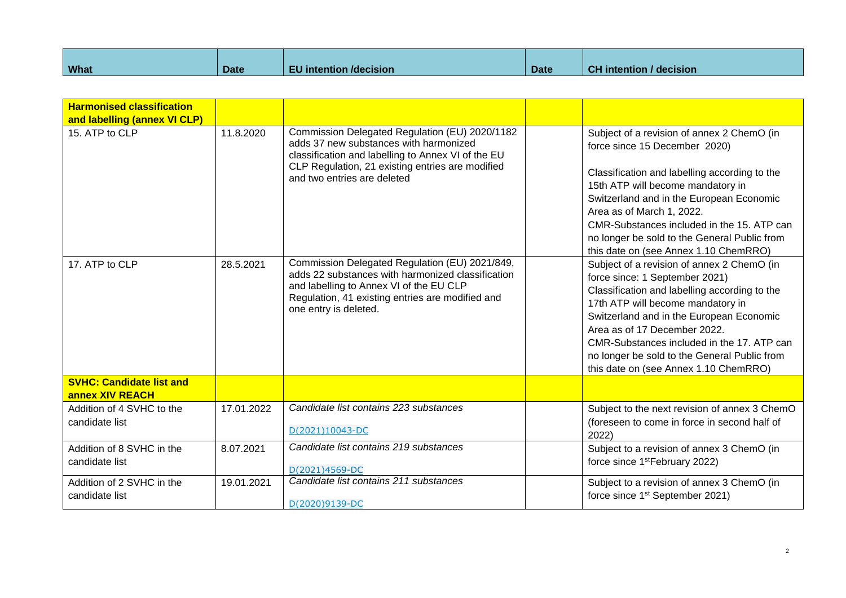| <b>What</b> | <b>Date</b> | .<br>intention /decision_<br>-97 | <b>Date</b> | <b>CH</b> intention<br>/ decision |
|-------------|-------------|----------------------------------|-------------|-----------------------------------|

| <b>Harmonised classification</b><br>and labelling (annex VI CLP) |            |                                                                                                                                                                                                                                   |       |                                                                                                                                                                                                                                                                                                                                                                                       |
|------------------------------------------------------------------|------------|-----------------------------------------------------------------------------------------------------------------------------------------------------------------------------------------------------------------------------------|-------|---------------------------------------------------------------------------------------------------------------------------------------------------------------------------------------------------------------------------------------------------------------------------------------------------------------------------------------------------------------------------------------|
| 15. ATP to CLP                                                   | 11.8.2020  | Commission Delegated Regulation (EU) 2020/1182<br>adds 37 new substances with harmonized<br>classification and labelling to Annex VI of the EU<br>CLP Regulation, 21 existing entries are modified<br>and two entries are deleted |       | Subject of a revision of annex 2 ChemO (in<br>force since 15 December 2020)<br>Classification and labelling according to the<br>15th ATP will become mandatory in<br>Switzerland and in the European Economic<br>Area as of March 1, 2022.<br>CMR-Substances included in the 15. ATP can<br>no longer be sold to the General Public from<br>this date on (see Annex 1.10 ChemRRO)     |
| 17. ATP to CLP                                                   | 28.5.2021  | Commission Delegated Regulation (EU) 2021/849,<br>adds 22 substances with harmonized classification<br>and labelling to Annex VI of the EU CLP<br>Regulation, 41 existing entries are modified and<br>one entry is deleted.       |       | Subject of a revision of annex 2 ChemO (in<br>force since: 1 September 2021)<br>Classification and labelling according to the<br>17th ATP will become mandatory in<br>Switzerland and in the European Economic<br>Area as of 17 December 2022.<br>CMR-Substances included in the 17. ATP can<br>no longer be sold to the General Public from<br>this date on (see Annex 1.10 ChemRRO) |
| <b>SVHC: Candidate list and</b><br>annex XIV REACH               |            |                                                                                                                                                                                                                                   |       |                                                                                                                                                                                                                                                                                                                                                                                       |
| Addition of 4 SVHC to the<br>candidate list                      | 17.01.2022 | Candidate list contains 223 substances<br>D(2021)10043-DC                                                                                                                                                                         | 2022) | Subject to the next revision of annex 3 ChemO<br>(foreseen to come in force in second half of                                                                                                                                                                                                                                                                                         |
| Addition of 8 SVHC in the<br>candidate list                      | 8.07.2021  | Candidate list contains 219 substances<br>D(2021)4569-DC                                                                                                                                                                          |       | Subject to a revision of annex 3 ChemO (in<br>force since 1 <sup>st</sup> February 2022)                                                                                                                                                                                                                                                                                              |
| Addition of 2 SVHC in the<br>candidate list                      | 19.01.2021 | Candidate list contains 211 substances<br>D(2020)9139-DC                                                                                                                                                                          |       | Subject to a revision of annex 3 ChemO (in<br>force since 1 <sup>st</sup> September 2021)                                                                                                                                                                                                                                                                                             |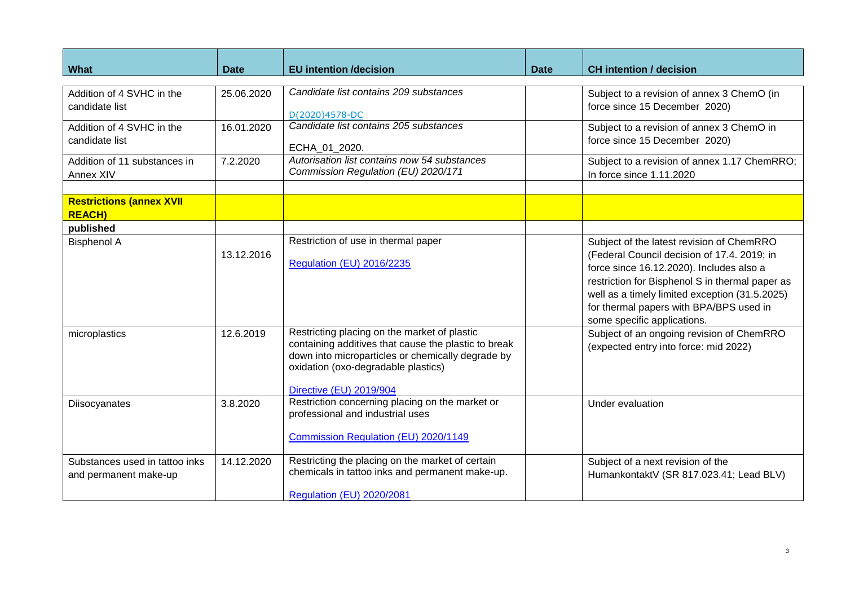| <b>What</b>                                             | Date       | <b>EU</b> intention /decision                                                                                                                                                                                               | Date | <b>CH</b> intention / decision                                                                                                                                                                                                                                                                                      |
|---------------------------------------------------------|------------|-----------------------------------------------------------------------------------------------------------------------------------------------------------------------------------------------------------------------------|------|---------------------------------------------------------------------------------------------------------------------------------------------------------------------------------------------------------------------------------------------------------------------------------------------------------------------|
| Addition of 4 SVHC in the<br>candidate list             | 25.06.2020 | Candidate list contains 209 substances<br>D(2020)4578-DC                                                                                                                                                                    |      | Subject to a revision of annex 3 ChemO (in<br>force since 15 December 2020)                                                                                                                                                                                                                                         |
| Addition of 4 SVHC in the<br>candidate list             | 16.01.2020 | Candidate list contains 205 substances<br>ECHA_01_2020.                                                                                                                                                                     |      | Subject to a revision of annex 3 ChemO in<br>force since 15 December 2020)                                                                                                                                                                                                                                          |
| Addition of 11 substances in<br>Annex XIV               | 7.2.2020   | Autorisation list contains now 54 substances<br>Commission Regulation (EU) 2020/171                                                                                                                                         |      | Subject to a revision of annex 1.17 ChemRRO;<br>In force since 1.11.2020                                                                                                                                                                                                                                            |
| <b>Restrictions (annex XVII</b><br><b>REACH)</b>        |            |                                                                                                                                                                                                                             |      |                                                                                                                                                                                                                                                                                                                     |
| published                                               |            |                                                                                                                                                                                                                             |      |                                                                                                                                                                                                                                                                                                                     |
| <b>Bisphenol A</b>                                      | 13.12.2016 | Restriction of use in thermal paper<br><b>Regulation (EU) 2016/2235</b>                                                                                                                                                     |      | Subject of the latest revision of ChemRRO<br>(Federal Council decision of 17.4. 2019; in<br>force since 16.12.2020). Includes also a<br>restriction for Bisphenol S in thermal paper as<br>well as a timely limited exception (31.5.2025)<br>for thermal papers with BPA/BPS used in<br>some specific applications. |
| microplastics                                           | 12.6.2019  | Restricting placing on the market of plastic<br>containing additives that cause the plastic to break<br>down into microparticles or chemically degrade by<br>oxidation (oxo-degradable plastics)<br>Directive (EU) 2019/904 |      | Subject of an ongoing revision of ChemRRO<br>(expected entry into force: mid 2022)                                                                                                                                                                                                                                  |
| Diisocyanates                                           | 3.8.2020   | Restriction concerning placing on the market or<br>professional and industrial uses<br>Commission Regulation (EU) 2020/1149                                                                                                 |      | Under evaluation                                                                                                                                                                                                                                                                                                    |
| Substances used in tattoo inks<br>and permanent make-up | 14.12.2020 | Restricting the placing on the market of certain<br>chemicals in tattoo inks and permanent make-up.<br><b>Regulation (EU) 2020/2081</b>                                                                                     |      | Subject of a next revision of the<br>HumankontaktV (SR 817.023.41; Lead BLV)                                                                                                                                                                                                                                        |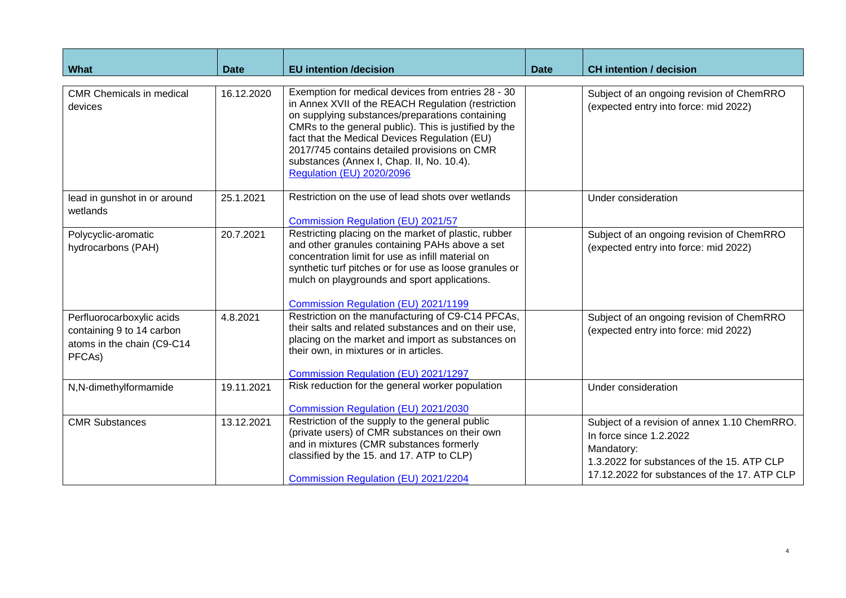| What                                                                                           | <b>Date</b> | <b>EU</b> intention /decision                                                                                                                                                                                                                                                                                                                                                                          | <b>Date</b> | <b>CH</b> intention / decision                                                                                                                                                      |
|------------------------------------------------------------------------------------------------|-------------|--------------------------------------------------------------------------------------------------------------------------------------------------------------------------------------------------------------------------------------------------------------------------------------------------------------------------------------------------------------------------------------------------------|-------------|-------------------------------------------------------------------------------------------------------------------------------------------------------------------------------------|
| <b>CMR Chemicals in medical</b><br>devices                                                     | 16.12.2020  | Exemption for medical devices from entries 28 - 30<br>in Annex XVII of the REACH Regulation (restriction<br>on supplying substances/preparations containing<br>CMRs to the general public). This is justified by the<br>fact that the Medical Devices Regulation (EU)<br>2017/745 contains detailed provisions on CMR<br>substances (Annex I, Chap. II, No. 10.4).<br><b>Regulation (EU) 2020/2096</b> |             | Subject of an ongoing revision of ChemRRO<br>(expected entry into force: mid 2022)                                                                                                  |
| lead in gunshot in or around<br>wetlands                                                       | 25.1.2021   | Restriction on the use of lead shots over wetlands<br>Commission Regulation (EU) 2021/57                                                                                                                                                                                                                                                                                                               |             | Under consideration                                                                                                                                                                 |
| Polycyclic-aromatic<br>hydrocarbons (PAH)                                                      | 20.7.2021   | Restricting placing on the market of plastic, rubber<br>and other granules containing PAHs above a set<br>concentration limit for use as infill material on<br>synthetic turf pitches or for use as loose granules or<br>mulch on playgrounds and sport applications.<br>Commission Regulation (EU) 2021/1199                                                                                          |             | Subject of an ongoing revision of ChemRRO<br>(expected entry into force: mid 2022)                                                                                                  |
| Perfluorocarboxylic acids<br>containing 9 to 14 carbon<br>atoms in the chain (C9-C14<br>PFCAs) | 4.8.2021    | Restriction on the manufacturing of C9-C14 PFCAs,<br>their salts and related substances and on their use,<br>placing on the market and import as substances on<br>their own, in mixtures or in articles.<br>Commission Regulation (EU) 2021/1297                                                                                                                                                       |             | Subject of an ongoing revision of ChemRRO<br>(expected entry into force: mid 2022)                                                                                                  |
| N,N-dimethylformamide                                                                          | 19.11.2021  | Risk reduction for the general worker population<br>Commission Regulation (EU) 2021/2030                                                                                                                                                                                                                                                                                                               |             | Under consideration                                                                                                                                                                 |
| <b>CMR Substances</b>                                                                          | 13.12.2021  | Restriction of the supply to the general public<br>(private users) of CMR substances on their own<br>and in mixtures (CMR substances formerly<br>classified by the 15. and 17. ATP to CLP)<br>Commission Regulation (EU) 2021/2204                                                                                                                                                                     |             | Subject of a revision of annex 1.10 ChemRRO.<br>In force since 1.2.2022<br>Mandatory:<br>1.3.2022 for substances of the 15. ATP CLP<br>17.12.2022 for substances of the 17. ATP CLP |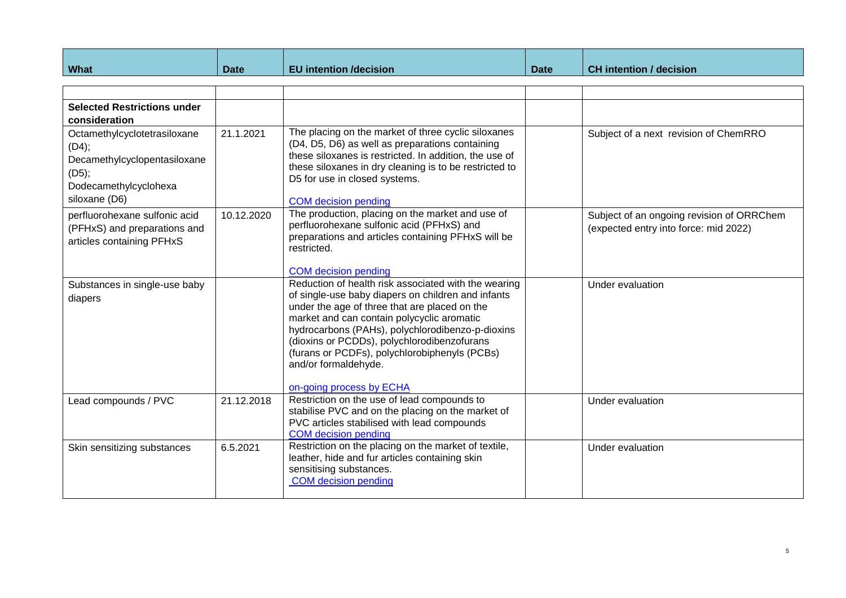| <b>What</b>                                                                                                              | <b>Date</b> | <b>EU</b> intention /decision                                                                                                                                                                                                                                                                                                                                                                                     | <b>Date</b> | <b>CH</b> intention / decision                                                     |
|--------------------------------------------------------------------------------------------------------------------------|-------------|-------------------------------------------------------------------------------------------------------------------------------------------------------------------------------------------------------------------------------------------------------------------------------------------------------------------------------------------------------------------------------------------------------------------|-------------|------------------------------------------------------------------------------------|
|                                                                                                                          |             |                                                                                                                                                                                                                                                                                                                                                                                                                   |             |                                                                                    |
|                                                                                                                          |             |                                                                                                                                                                                                                                                                                                                                                                                                                   |             |                                                                                    |
| <b>Selected Restrictions under</b><br>consideration                                                                      |             |                                                                                                                                                                                                                                                                                                                                                                                                                   |             |                                                                                    |
| Octamethylcyclotetrasiloxane<br>(D4);<br>Decamethylcyclopentasiloxane<br>(D5);<br>Dodecamethylcyclohexa<br>siloxane (D6) | 21.1.2021   | The placing on the market of three cyclic siloxanes<br>(D4, D5, D6) as well as preparations containing<br>these siloxanes is restricted. In addition, the use of<br>these siloxanes in dry cleaning is to be restricted to<br>D5 for use in closed systems.<br><b>COM</b> decision pending                                                                                                                        |             | Subject of a next revision of ChemRRO                                              |
| perfluorohexane sulfonic acid<br>(PFHxS) and preparations and<br>articles containing PFHxS                               | 10.12.2020  | The production, placing on the market and use of<br>perfluorohexane sulfonic acid (PFHxS) and<br>preparations and articles containing PFHxS will be<br>restricted.<br><b>COM</b> decision pending                                                                                                                                                                                                                 |             | Subject of an ongoing revision of ORRChem<br>(expected entry into force: mid 2022) |
| Substances in single-use baby<br>diapers                                                                                 |             | Reduction of health risk associated with the wearing<br>of single-use baby diapers on children and infants<br>under the age of three that are placed on the<br>market and can contain polycyclic aromatic<br>hydrocarbons (PAHs), polychlorodibenzo-p-dioxins<br>(dioxins or PCDDs), polychlorodibenzofurans<br>(furans or PCDFs), polychlorobiphenyls (PCBs)<br>and/or formaldehyde.<br>on-going process by ECHA |             | Under evaluation                                                                   |
| Lead compounds / PVC                                                                                                     | 21.12.2018  | Restriction on the use of lead compounds to<br>stabilise PVC and on the placing on the market of<br>PVC articles stabilised with lead compounds<br><b>COM</b> decision pending                                                                                                                                                                                                                                    |             | Under evaluation                                                                   |
| Skin sensitizing substances                                                                                              | 6.5.2021    | Restriction on the placing on the market of textile,<br>leather, hide and fur articles containing skin<br>sensitising substances.<br><b>COM</b> decision pending                                                                                                                                                                                                                                                  |             | Under evaluation                                                                   |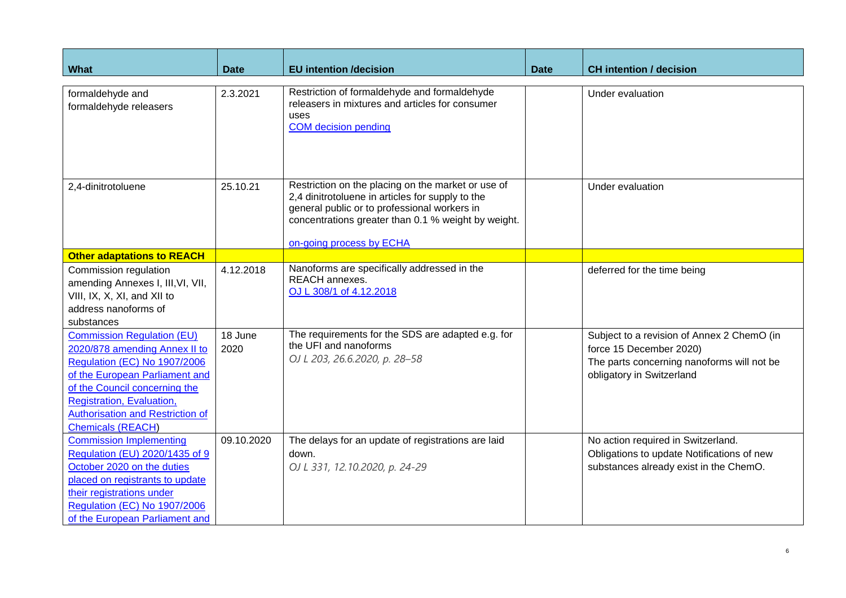| What                                                                                                                                                                                                                                                                             | <b>Date</b>     | <b>EU</b> intention /decision                                                                                                                                                                                                             | <b>Date</b> | <b>CH</b> intention / decision                                                                                                                   |
|----------------------------------------------------------------------------------------------------------------------------------------------------------------------------------------------------------------------------------------------------------------------------------|-----------------|-------------------------------------------------------------------------------------------------------------------------------------------------------------------------------------------------------------------------------------------|-------------|--------------------------------------------------------------------------------------------------------------------------------------------------|
|                                                                                                                                                                                                                                                                                  |                 |                                                                                                                                                                                                                                           |             |                                                                                                                                                  |
| formaldehyde and<br>formaldehyde releasers                                                                                                                                                                                                                                       | 2.3.2021        | Restriction of formaldehyde and formaldehyde<br>releasers in mixtures and articles for consumer<br>uses<br><b>COM</b> decision pending                                                                                                    |             | Under evaluation                                                                                                                                 |
| 2,4-dinitrotoluene                                                                                                                                                                                                                                                               | 25.10.21        | Restriction on the placing on the market or use of<br>2,4 dinitrotoluene in articles for supply to the<br>general public or to professional workers in<br>concentrations greater than 0.1 % weight by weight.<br>on-going process by ECHA |             | Under evaluation                                                                                                                                 |
| <b>Other adaptations to REACH</b>                                                                                                                                                                                                                                                |                 |                                                                                                                                                                                                                                           |             |                                                                                                                                                  |
| Commission regulation<br>amending Annexes I, III, VI, VII,<br>VIII, IX, X, XI, and XII to<br>address nanoforms of<br>substances                                                                                                                                                  | 4.12.2018       | Nanoforms are specifically addressed in the<br><b>REACH</b> annexes.<br>OJ L 308/1 of 4.12.2018                                                                                                                                           |             | deferred for the time being                                                                                                                      |
| <b>Commission Regulation (EU)</b><br>2020/878 amending Annex II to<br><b>Regulation (EC) No 1907/2006</b><br>of the European Parliament and<br>of the Council concerning the<br>Registration, Evaluation,<br><b>Authorisation and Restriction of</b><br><b>Chemicals (REACH)</b> | 18 June<br>2020 | The requirements for the SDS are adapted e.g. for<br>the UFI and nanoforms<br>OJ L 203, 26.6.2020, p. 28-58                                                                                                                               |             | Subject to a revision of Annex 2 ChemO (in<br>force 15 December 2020)<br>The parts concerning nanoforms will not be<br>obligatory in Switzerland |
| <b>Commission Implementing</b><br>Regulation (EU) 2020/1435 of 9<br>October 2020 on the duties<br>placed on registrants to update<br>their registrations under<br><b>Regulation (EC) No 1907/2006</b><br>of the European Parliament and                                          | 09.10.2020      | The delays for an update of registrations are laid<br>down.<br>OJ L 331, 12.10.2020, p. 24-29                                                                                                                                             |             | No action required in Switzerland.<br>Obligations to update Notifications of new<br>substances already exist in the ChemO.                       |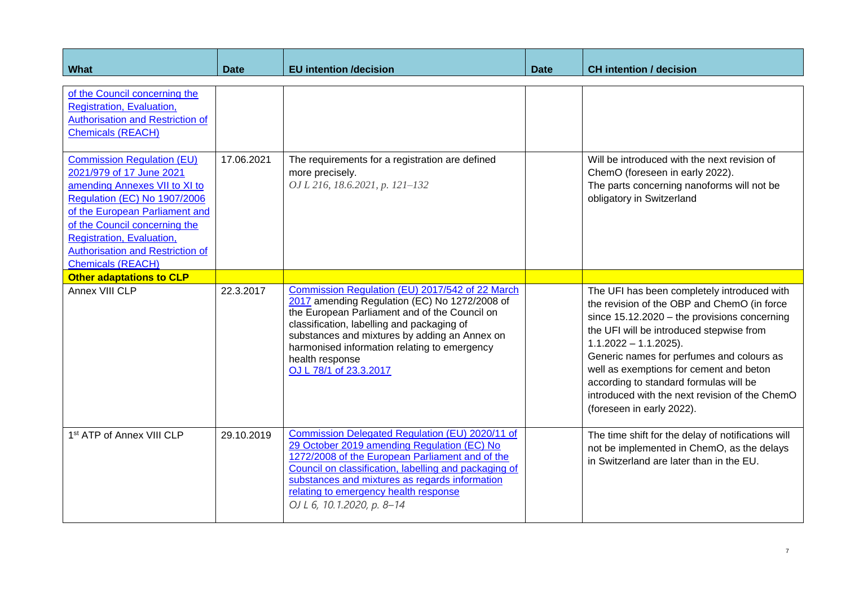| <b>What</b>                                                                                                                                                                                                                                                                                                  | Date       | <b>EU</b> intention /decision                                                                                                                                                                                                                                                                                                                 | Date | <b>CH</b> intention / decision                                                                                                                                                                                                                                                                                                                                                                                                        |
|--------------------------------------------------------------------------------------------------------------------------------------------------------------------------------------------------------------------------------------------------------------------------------------------------------------|------------|-----------------------------------------------------------------------------------------------------------------------------------------------------------------------------------------------------------------------------------------------------------------------------------------------------------------------------------------------|------|---------------------------------------------------------------------------------------------------------------------------------------------------------------------------------------------------------------------------------------------------------------------------------------------------------------------------------------------------------------------------------------------------------------------------------------|
| of the Council concerning the<br>Registration, Evaluation,<br><b>Authorisation and Restriction of</b><br><b>Chemicals (REACH)</b>                                                                                                                                                                            |            |                                                                                                                                                                                                                                                                                                                                               |      |                                                                                                                                                                                                                                                                                                                                                                                                                                       |
| <b>Commission Regulation (EU)</b><br>2021/979 of 17 June 2021<br>amending Annexes VII to XI to<br><b>Regulation (EC) No 1907/2006</b><br>of the European Parliament and<br>of the Council concerning the<br>Registration, Evaluation,<br><b>Authorisation and Restriction of</b><br><b>Chemicals (REACH)</b> | 17.06.2021 | The requirements for a registration are defined<br>more precisely.<br>OJ L 216, 18.6.2021, p. 121-132                                                                                                                                                                                                                                         |      | Will be introduced with the next revision of<br>ChemO (foreseen in early 2022).<br>The parts concerning nanoforms will not be<br>obligatory in Switzerland                                                                                                                                                                                                                                                                            |
| <b>Other adaptations to CLP</b>                                                                                                                                                                                                                                                                              |            |                                                                                                                                                                                                                                                                                                                                               |      |                                                                                                                                                                                                                                                                                                                                                                                                                                       |
| Annex VIII CLP                                                                                                                                                                                                                                                                                               | 22.3.2017  | Commission Regulation (EU) 2017/542 of 22 March<br>2017 amending Regulation (EC) No 1272/2008 of<br>the European Parliament and of the Council on<br>classification, labelling and packaging of<br>substances and mixtures by adding an Annex on<br>harmonised information relating to emergency<br>health response<br>OJ L 78/1 of 23.3.2017 |      | The UFI has been completely introduced with<br>the revision of the OBP and ChemO (in force<br>since $15.12.2020 -$ the provisions concerning<br>the UFI will be introduced stepwise from<br>$1.1.2022 - 1.1.2025$ ).<br>Generic names for perfumes and colours as<br>well as exemptions for cement and beton<br>according to standard formulas will be<br>introduced with the next revision of the ChemO<br>(foreseen in early 2022). |
| 1st ATP of Annex VIII CLP                                                                                                                                                                                                                                                                                    | 29.10.2019 | Commission Delegated Regulation (EU) 2020/11 of<br>29 October 2019 amending Regulation (EC) No<br>1272/2008 of the European Parliament and of the<br>Council on classification, labelling and packaging of<br>substances and mixtures as regards information<br>relating to emergency health response<br>OJ L 6, 10.1.2020, p. 8-14           |      | The time shift for the delay of notifications will<br>not be implemented in ChemO, as the delays<br>in Switzerland are later than in the EU.                                                                                                                                                                                                                                                                                          |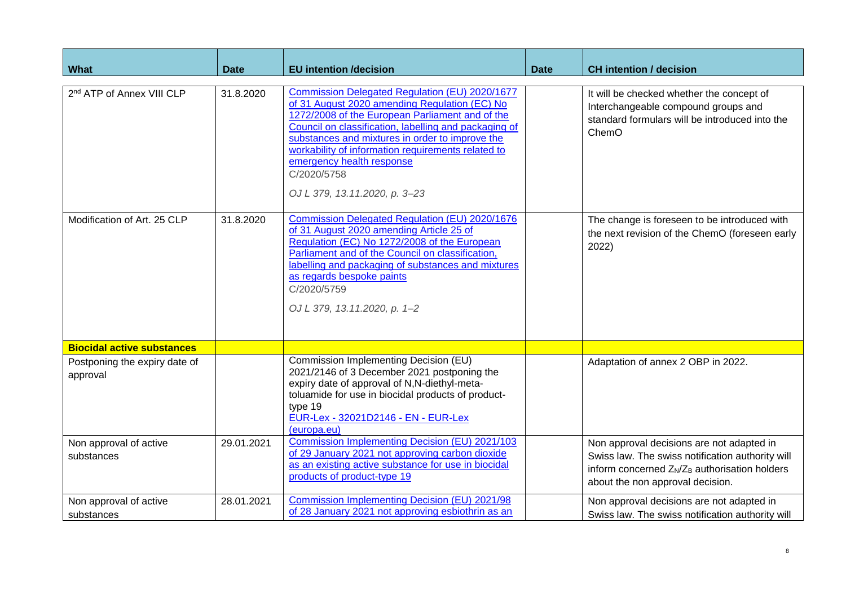| What                                      | <b>Date</b> | <b>EU intention /decision</b>                                                                                                                                                                                                                                                                                                                                                                     | <b>Date</b> | <b>CH</b> intention / decision                                                                                                                                                                             |
|-------------------------------------------|-------------|---------------------------------------------------------------------------------------------------------------------------------------------------------------------------------------------------------------------------------------------------------------------------------------------------------------------------------------------------------------------------------------------------|-------------|------------------------------------------------------------------------------------------------------------------------------------------------------------------------------------------------------------|
| 2 <sup>nd</sup> ATP of Annex VIII CLP     | 31.8.2020   | Commission Delegated Regulation (EU) 2020/1677<br>of 31 August 2020 amending Regulation (EC) No<br>1272/2008 of the European Parliament and of the<br>Council on classification, labelling and packaging of<br>substances and mixtures in order to improve the<br>workability of information requirements related to<br>emergency health response<br>C/2020/5758<br>OJ L 379, 13.11.2020, p. 3-23 |             | It will be checked whether the concept of<br>Interchangeable compound groups and<br>standard formulars will be introduced into the<br>ChemO                                                                |
| Modification of Art. 25 CLP               | 31.8.2020   | <b>Commission Delegated Regulation (EU) 2020/1676</b><br>of 31 August 2020 amending Article 25 of<br>Regulation (EC) No 1272/2008 of the European<br>Parliament and of the Council on classification,<br>labelling and packaging of substances and mixtures<br>as regards bespoke paints<br>C/2020/5759<br>OJ L 379, 13.11.2020, p. 1-2                                                           |             | The change is foreseen to be introduced with<br>the next revision of the ChemO (foreseen early<br>2022)                                                                                                    |
| <b>Biocidal active substances</b>         |             |                                                                                                                                                                                                                                                                                                                                                                                                   |             |                                                                                                                                                                                                            |
| Postponing the expiry date of<br>approval |             | Commission Implementing Decision (EU)<br>2021/2146 of 3 December 2021 postponing the<br>expiry date of approval of N,N-diethyl-meta-<br>toluamide for use in biocidal products of product-<br>type 19<br>EUR-Lex - 32021D2146 - EN - EUR-Lex<br>(europa.eu)                                                                                                                                       |             | Adaptation of annex 2 OBP in 2022.                                                                                                                                                                         |
| Non approval of active<br>substances      | 29.01.2021  | Commission Implementing Decision (EU) 2021/103<br>of 29 January 2021 not approving carbon dioxide<br>as an existing active substance for use in biocidal<br>products of product-type 19                                                                                                                                                                                                           |             | Non approval decisions are not adapted in<br>Swiss law. The swiss notification authority will<br>inform concerned Z <sub>N</sub> /Z <sub>B</sub> authorisation holders<br>about the non approval decision. |
| Non approval of active<br>substances      | 28.01.2021  | <b>Commission Implementing Decision (EU) 2021/98</b><br>of 28 January 2021 not approving esbiothrin as an                                                                                                                                                                                                                                                                                         |             | Non approval decisions are not adapted in<br>Swiss law. The swiss notification authority will                                                                                                              |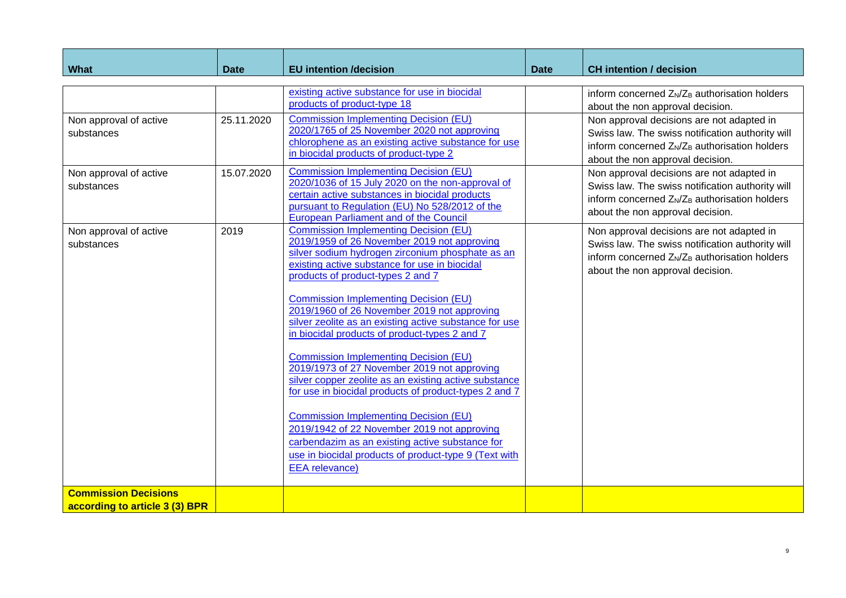| What                                                                         | <b>Date</b>              | <b>EU</b> intention /decision                                                                                                                                                                                                                                                                                                                                                                                                                                                                                                                                                                                                                                                                                                                                                                                                                                                                                                                         | <b>Date</b> | <b>CH</b> intention / decision                                                                                                                                                                                                                                                                                                                                                                                                                                               |
|------------------------------------------------------------------------------|--------------------------|-------------------------------------------------------------------------------------------------------------------------------------------------------------------------------------------------------------------------------------------------------------------------------------------------------------------------------------------------------------------------------------------------------------------------------------------------------------------------------------------------------------------------------------------------------------------------------------------------------------------------------------------------------------------------------------------------------------------------------------------------------------------------------------------------------------------------------------------------------------------------------------------------------------------------------------------------------|-------------|------------------------------------------------------------------------------------------------------------------------------------------------------------------------------------------------------------------------------------------------------------------------------------------------------------------------------------------------------------------------------------------------------------------------------------------------------------------------------|
| Non approval of active<br>substances<br>Non approval of active<br>substances | 25.11.2020<br>15.07.2020 | existing active substance for use in biocidal<br>products of product-type 18<br><b>Commission Implementing Decision (EU)</b><br>2020/1765 of 25 November 2020 not approving<br>chlorophene as an existing active substance for use<br>in biocidal products of product-type 2<br><b>Commission Implementing Decision (EU)</b><br>2020/1036 of 15 July 2020 on the non-approval of<br>certain active substances in biocidal products<br>pursuant to Regulation (EU) No 528/2012 of the                                                                                                                                                                                                                                                                                                                                                                                                                                                                  |             | inform concerned Z <sub>N</sub> /Z <sub>B</sub> authorisation holders<br>about the non approval decision.<br>Non approval decisions are not adapted in<br>Swiss law. The swiss notification authority will<br>inform concerned $Z_N/Z_B$ authorisation holders<br>about the non approval decision.<br>Non approval decisions are not adapted in<br>Swiss law. The swiss notification authority will<br>inform concerned Z <sub>N</sub> /Z <sub>B</sub> authorisation holders |
| Non approval of active<br>substances                                         | 2019                     | <b>European Parliament and of the Council</b><br><b>Commission Implementing Decision (EU)</b><br>2019/1959 of 26 November 2019 not approving<br>silver sodium hydrogen zirconium phosphate as an<br>existing active substance for use in biocidal<br>products of product-types 2 and 7<br><b>Commission Implementing Decision (EU)</b><br>2019/1960 of 26 November 2019 not approving<br>silver zeolite as an existing active substance for use<br>in biocidal products of product-types 2 and 7<br><b>Commission Implementing Decision (EU)</b><br>2019/1973 of 27 November 2019 not approving<br>silver copper zeolite as an existing active substance<br>for use in biocidal products of product-types 2 and 7<br><b>Commission Implementing Decision (EU)</b><br>2019/1942 of 22 November 2019 not approving<br>carbendazim as an existing active substance for<br>use in biocidal products of product-type 9 (Text with<br><b>EEA</b> relevance) |             | about the non approval decision.<br>Non approval decisions are not adapted in<br>Swiss law. The swiss notification authority will<br>inform concerned Z <sub>N</sub> /Z <sub>B</sub> authorisation holders<br>about the non approval decision.                                                                                                                                                                                                                               |
| <b>Commission Decisions</b><br>according to article 3 (3) BPR                |                          |                                                                                                                                                                                                                                                                                                                                                                                                                                                                                                                                                                                                                                                                                                                                                                                                                                                                                                                                                       |             |                                                                                                                                                                                                                                                                                                                                                                                                                                                                              |